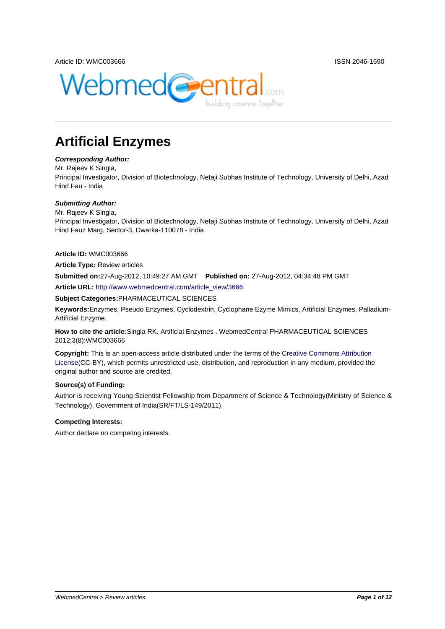

# **Artificial Enzymes**

## **Corresponding Author:**

Mr. Rajeev K Singla, Principal Investigator, Division of Biotechnology, Netaji Subhas Institute of Technology, University of Delhi, Azad Hind Fau - India

### **Submitting Author:**

Mr. Rajeev K Singla,

Principal Investigator, Division of Biotechnology, Netaji Subhas Institute of Technology, University of Delhi, Azad Hind Fauz Marg, Sector-3, Dwarka-110078 - India

### **Article ID:** WMC003666

**Article Type:** Review articles

**Submitted on:**27-Aug-2012, 10:49:27 AM GMT **Published on:** 27-Aug-2012, 04:34:48 PM GMT

**Article URL:** http://www.webmedcentral.com/article\_view/3666

**Subject Categories:**PHARMACEUTICAL SCIENCES

**Keywords:**Enzymes, Pseudo Enzymes, Cyclodextrin, Cyclophane Ezyme Mimics, Artificial Enzymes, Palladium-Artificial Enzy[me.](http://www.webmedcentral.com/article_view/3666)

**How to cite the article:**Singla RK. Artificial Enzymes . WebmedCentral PHARMACEUTICAL SCIENCES 2012;3(8):WMC003666

**Copyright:** This is an open-access article distributed under the terms of the Creative Commons Attribution License(CC-BY), which permits unrestricted use, distribution, and reproduction in any medium, provided the original author and source are credited.

## **Source(s) of Funding:**

[Author i](http://creativecommons.org/licenses/by/3.0/)s receiving Young Scientist Fellowship from Department of Scienc[e & Technology\(Ministry of Scie](http://creativecommons.org/licenses/by/3.0/)nce & Technology), Government of India(SR/FT/LS-149/2011).

## **Competing Interests:**

Author declare no competing interests.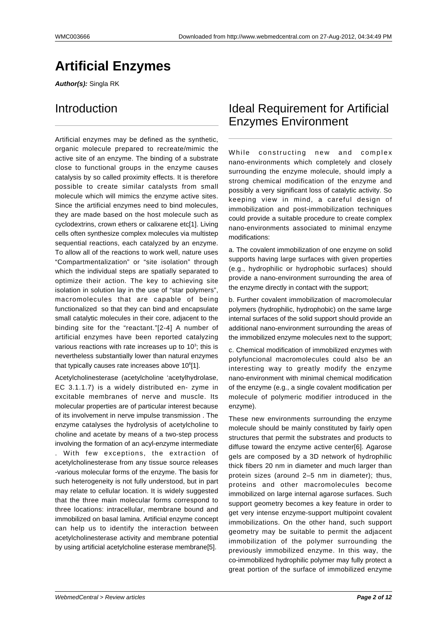# **Artificial Enzymes**

**Author(s):** Singla RK

# Introduction

Artificial enzymes may be defined as the synthetic, organic molecule prepared to recreate/mimic the active site of an enzyme. The binding of a substrate close to functional groups in the enzyme causes catalysis by so called proximity effects. It is therefore possible to create similar catalysts from small molecule which will mimics the enzyme active sites. Since the artificial enzymes need to bind molecules, they are made based on the host molecule such as cyclodextrins, crown ethers or calixarene etc[1]. Living cells often synthesize complex molecules via multistep sequential reactions, each catalyzed by an enzyme. To allow all of the reactions to work well, nature uses "Compartmentalization" or "site isolation" through which the individual steps are spatially separated to optimize their action. The key to achieving site isolation in solution lay in the use of "star polymers", macromolecules that are capable of being functionalized so that they can bind and encapsulate small catalytic molecules in their core, adjacent to the binding site for the "reactant."[2-4] A number of artificial enzymes have been reported catalyzing various reactions with rate increases up to  $10^3$ ; this is nevertheless substantially lower than natural enzymes that typically causes rate increases above  $10<sup>6</sup>[1]$ .

Acetylcholinesterase (acetylcholine 'acetylhydrolase, EC 3.1.1.7) is a widely distributed en- zyme in excitable membranes of nerve and muscle. Its molecular properties are of particular interest because of its involvement in nerve impulse transmission . The enzyme catalyses the hydrolysis of acetylcholine to choline and acetate by means of a two-step process involving the formation of an acyl-enzyme intermediate . With few exceptions, the extraction of acetylcholinesterase from any tissue source releases -various molecular forms of the enzyme. The basis for such heterogeneity is not fully understood, but in part may relate to cellular location. It is widely suggested that the three main molecular forms correspond to three locations: intracellular, membrane bound and immobilized on basal lamina. Artificial enzyme concept can help us to identify the interaction between acetylcholinesterase activity and membrane potential by using artificial acetylcholine esterase membrane[5].

# Ideal Requirement for Artificial Enzymes Environment

While constructing new and complex nano-environments which completely and closely surrounding the enzyme molecule, should imply a strong chemical modification of the enzyme and possibly a very significant loss of catalytic activity. So keeping view in mind, a careful design of immobilization and post-immobilization techniques could provide a suitable procedure to create complex nano-environments associated to minimal enzyme modifications:

a. The covalent immobilization of one enzyme on solid supports having large surfaces with given properties (e.g., hydrophilic or hydrophobic surfaces) should provide a nano-environment surrounding the area of the enzyme directly in contact with the support;

b. Further covalent immobilization of macromolecular polymers (hydrophilic, hydrophobic) on the same large internal surfaces of the solid support should provide an additional nano-environment surrounding the areas of the immobilized enzyme molecules next to the support;

c. Chemical modification of immobilized enzymes with polyfuncional macromolecules could also be an interesting way to greatly modify the enzyme nano-environment with minimal chemical modification of the enzyme (e.g., a single covalent modification per molecule of polymeric modifier introduced in the enzyme).

These new environments surrounding the enzyme molecule should be mainly constituted by fairly open structures that permit the substrates and products to diffuse toward the enzyme active center[6]. Agarose gels are composed by a 3D network of hydrophilic thick fibers 20 nm in diameter and much larger than protein sizes (around 2–5 nm in diameter); thus, proteins and other macromolecules become immobilized on large internal agarose surfaces. Such support geometry becomes a key feature in order to get very intense enzyme-support multipoint covalent immobilizations. On the other hand, such support geometry may be suitable to permit the adjacent immobilization of the polymer surrounding the previously immobilized enzyme. In this way, the co-immobilized hydrophilic polymer may fully protect a great portion of the surface of immobilized enzyme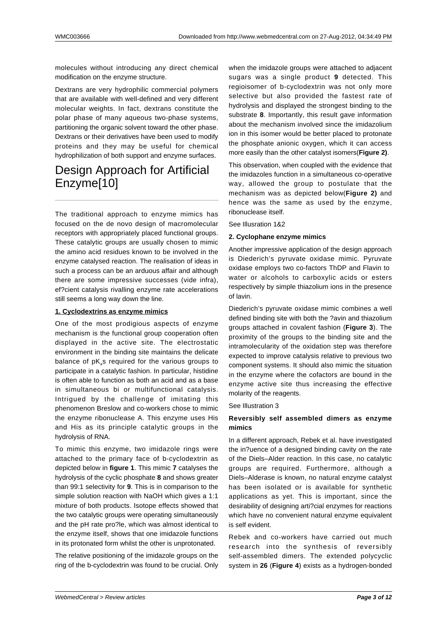molecules without introducing any direct chemical modification on the enzyme structure.

Dextrans are very hydrophilic commercial polymers that are available with well-defined and very different molecular weights. In fact, dextrans constitute the polar phase of many aqueous two-phase systems, partitioning the organic solvent toward the other phase. Dextrans or their derivatives have been used to modify proteins and they may be useful for chemical hydrophilization of both support and enzyme surfaces.

# Design Approach for Artificial Enzyme[10]

The traditional approach to enzyme mimics has focused on the de novo design of macromolecular receptors with appropriately placed functional groups. These catalytic groups are usually chosen to mimic the amino acid residues known to be involved in the enzyme catalysed reaction. The realisation of ideas in such a process can be an arduous affair and although there are some impressive successes (vide infra), ef?cient catalysis rivalling enzyme rate accelerations still seems a long way down the line.

### **1. Cyclodextrins as enzyme mimics**

One of the most prodigious aspects of enzyme mechanism is the functional group cooperation often displayed in the active site. The electrostatic environment in the binding site maintains the delicate balance of  $pK_a s$  required for the various groups to participate in a catalytic fashion. In particular, histidine is often able to function as both an acid and as a base in simultaneous bi or multifunctional catalysis. Intrigued by the challenge of imitating this phenomenon Breslow and co-workers chose to mimic the enzyme ribonuclease A. This enzyme uses His and His as its principle catalytic groups in the hydrolysis of RNA.

To mimic this enzyme, two imidazole rings were attached to the primary face of b-cyclodextrin as depicted below in **figure 1**. This mimic **7** catalyses the hydrolysis of the cyclic phosphate **8** and shows greater than 99:1 selectivity for **9**. This is in comparison to the simple solution reaction with NaOH which gives a 1:1 mixture of both products. Isotope effects showed that the two catalytic groups were operating simultaneously and the pH rate pro?le, which was almost identical to the enzyme itself, shows that one imidazole functions in its protonated form whilst the other is unprotonated.

The relative positioning of the imidazole groups on the ring of the b-cyclodextrin was found to be crucial. Only when the imidazole groups were attached to adjacent sugars was a single product **9** detected. This regioisomer of b-cyclodextrin was not only more selective but also provided the fastest rate of hydrolysis and displayed the strongest binding to the substrate **8**. Importantly, this result gave information about the mechanism involved since the imidazolium ion in this isomer would be better placed to protonate the phosphate anionic oxygen, which it can access more easily than the other catalyst isomers(**Figure 2)**.

This observation, when coupled with the evidence that the imidazoles function in a simultaneous co-operative way, allowed the group to postulate that the mechanism was as depicted below(**Figure 2)** and hence was the same as used by the enzyme, ribonuclease itself.

See Illusration 1&2

### **2. Cyclophane enzyme mimics**

Another impressive application of the design approach is Diederich's pyruvate oxidase mimic. Pyruvate oxidase employs two co-factors ThDP and Flavin to water or alcohols to carboxylic acids or esters respectively by simple thiazolium ions in the presence of lavin.

Diederich's pyruvate oxidase mimic combines a well defined binding site with both the ?avin and thiazolium groups attached in covalent fashion (**Figure 3**). The proximity of the groups to the binding site and the intramolecularity of the oxidation step was therefore expected to improve catalysis relative to previous two component systems. It should also mimic the situation in the enzyme where the cofactors are bound in the enzyme active site thus increasing the effective molarity of the reagents.

### See Illustration 3

## **Reversibly self assembled dimers as enzyme mimics**

In a different approach, Rebek et al. have investigated the in?uence of a designed binding cavity on the rate of the Diels–Alder reaction. In this case, no catalytic groups are required. Furthermore, although a Diels–Alderase is known, no natural enzyme catalyst has been isolated or is available for synthetic applications as yet. This is important, since the desirability of designing arti?cial enzymes for reactions which have no convenient natural enzyme equivalent is self evident.

Rebek and co-workers have carried out much research into the synthesis of reversibly self-assembled dimers. The extended polycyclic system in **26** (**Figure 4**) exists as a hydrogen-bonded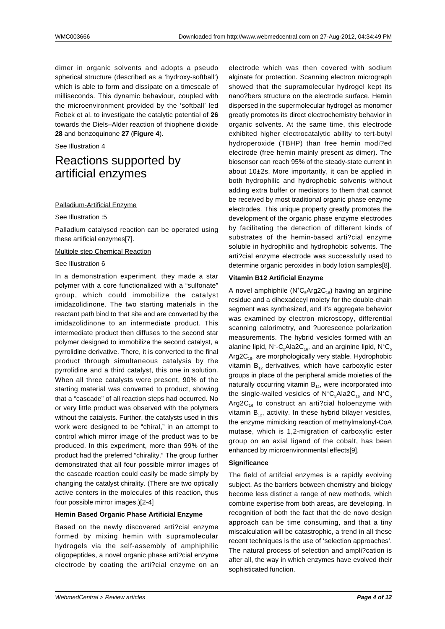dimer in organic solvents and adopts a pseudo spherical structure (described as a 'hydroxy-softball') which is able to form and dissipate on a timescale of milliseconds. This dynamic behaviour, coupled with the microenvironment provided by the 'softball' led Rebek et al. to investigate the catalytic potential of **26** towards the Diels–Alder reaction of thiophene dioxide **28** and benzoquinone **27** (**Figure 4**).

See Illustration 4

# Reactions supported by artificial enzymes

### Palladium-Artificial Enzyme

#### See Illustration :5

Palladium catalysed reaction can be operated using these artificial enzymes[7].

Multiple step Chemical Reaction

#### See Illustration 6

In a demonstration experiment, they made a star polymer with a core functionalized with a "sulfonate" group, which could immobilize the catalyst imidazolidinone. The two starting materials in the reactant path bind to that site and are converted by the imidazolidinone to an intermediate product. This intermediate product then diffuses to the second star polymer designed to immobilize the second catalyst, a pyrrolidine derivative. There, it is converted to the final product through simultaneous catalysis by the pyrrolidine and a third catalyst, this one in solution. When all three catalysts were present, 90% of the starting material was converted to product, showing that a "cascade" of all reaction steps had occurred. No or very little product was observed with the polymers without the catalysts. Further, the catalysts used in this work were designed to be "chiral," in an attempt to control which mirror image of the product was to be produced. In this experiment, more than 99% of the product had the preferred "chirality." The group further demonstrated that all four possible mirror images of the cascade reaction could easily be made simply by changing the catalyst chirality. (There are two optically active centers in the molecules of this reaction, thus four possible mirror images.)[2-4]

### **Hemin Based Organic Phase Artificial Enzyme**

Based on the newly discovered arti?cial enzyme formed by mixing hemin with supramolecular hydrogels via the self-assembly of amphiphilic oligopeptides, a novel organic phase arti?cial enzyme electrode by coating the arti?cial enzyme on an electrode which was then covered with sodium alginate for protection. Scanning electron micrograph showed that the supramolecular hydrogel kept its nano?bers structure on the electrode surface. Hemin dispersed in the supermolecular hydrogel as monomer greatly promotes its direct electrochemistry behavior in organic solvents. At the same time, this electrode exhibited higher electrocatalytic ability to tert-butyl hydroperoxide (TBHP) than free hemin modi?ed electrode (free hemin mainly present as dimer). The biosensor can reach 95% of the steady-state current in about 10±2s. More importantly, it can be applied in both hydrophilic and hydrophobic solvents without adding extra buffer or mediators to them that cannot be received by most traditional organic phase enzyme electrodes. This unique property greatly promotes the development of the organic phase enzyme electrodes by facilitating the detection of different kinds of substrates of the hemin-based arti?cial enzyme soluble in hydrophilic and hydrophobic solvents. The arti?cial enzyme electrode was successfully used to determine organic peroxides in body lotion samples[8].

### **Vitamin B12 Artificial Enzyme**

A novel amphiphile ( $N+C_5Arg2C_{16}$ ) having an arginine residue and a dihexadecyl moiety for the double-chain segment was synthesized, and it's aggregate behavior was examined by electron microscopy, differential scanning calorimetry, and ?uorescence polarization measurements. The hybrid vesicles formed with an alanine lipid,  $N^{\text{+}}C_{5}$ Ala2C<sub>16</sub>, and an arginine lipid,  $N^{\text{+}}C_{5}$ Arg2 $C_{16}$ , are morphologically very stable. Hydrophobic vitamin  $B_{12}$  derivatives, which have carboxylic ester groups in place of the peripheral amide moieties of the naturally occurring vitamin  $B_{12}$ , were incorporated into the single-walled vesicles of  $N+C_5A$ la2C<sub>16</sub> and N<sup>+</sup>C<sub>5</sub> Arg2 $C_{16}$  to construct an arti?cial holoenzyme with vitamin  $B_{12}$ , activity. In these hybrid bilayer vesicles, the enzyme mimicking reaction of methylmalonyl-CoA mutase, which is 1,2-migration of carboxylic ester group on an axial ligand of the cobalt, has been enhanced by microenvironmental effects[9].

#### **Significance**

The field of artifcial enzymes is a rapidly evolving subject. As the barriers between chemistry and biology become less distinct a range of new methods, which combine expertise from both areas, are developing. In recognition of both the fact that the de novo design approach can be time consuming, and that a tiny miscalculation will be catastrophic, a trend in all these recent techniques is the use of 'selection approaches'. The natural process of selection and ampli?cation is after all, the way in which enzymes have evolved their sophisticated function.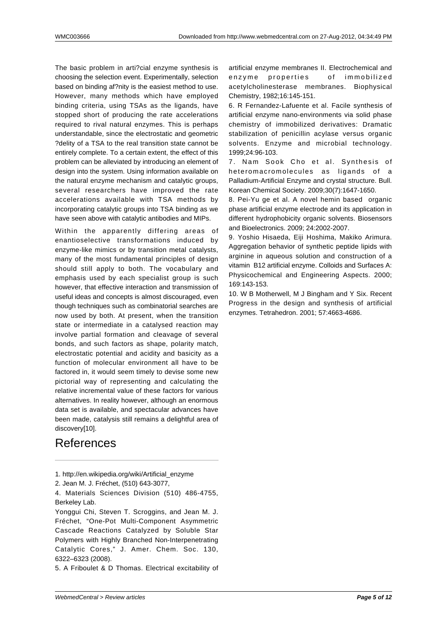The basic problem in arti?cial enzyme synthesis is choosing the selection event. Experimentally, selection based on binding af?nity is the easiest method to use. However, many methods which have employed binding criteria, using TSAs as the ligands, have stopped short of producing the rate accelerations required to rival natural enzymes. This is perhaps understandable, since the electrostatic and geometric ?delity of a TSA to the real transition state cannot be entirely complete. To a certain extent, the effect of this problem can be alleviated by introducing an element of design into the system. Using information available on the natural enzyme mechanism and catalytic groups, several researchers have improved the rate accelerations available with TSA methods by incorporating catalytic groups into TSA binding as we have seen above with catalytic antibodies and MIPs.

Within the apparently differing areas of enantioselective transformations induced by enzyme-like mimics or by transition metal catalysts, many of the most fundamental principles of design should still apply to both. The vocabulary and emphasis used by each specialist group is such however, that effective interaction and transmission of useful ideas and concepts is almost discouraged, even though techniques such as combinatorial searches are now used by both. At present, when the transition state or intermediate in a catalysed reaction may involve partial formation and cleavage of several bonds, and such factors as shape, polarity match, electrostatic potential and acidity and basicity as a function of molecular environment all have to be factored in, it would seem timely to devise some new pictorial way of representing and calculating the relative incremental value of these factors for various alternatives. In reality however, although an enormous data set is available, and spectacular advances have been made, catalysis still remains a delightful area of discovery[10].

# References

5. A Friboulet & D Thomas. Electrical excitability of

artificial enzyme membranes II. Electrochemical and enzyme properties of immobilized acetylcholinesterase membranes. Biophysical Chemistry, 1982;16:145-151.

6. R Fernandez-Lafuente et al. Facile synthesis of artificial enzyme nano-environments via solid phase chemistry of immobilized derivatives: Dramatic stabilization of penicillin acylase versus organic solvents. Enzyme and microbial technology. 1999;24:96-103.

7. Nam Sook Cho et al. Synthesis of heteromacromolecules as ligands of a Palladium-Artificial Enzyme and crystal structure. Bull. Korean Chemical Society. 2009;30(7):1647-1650.

8. Pei-Yu ge et al. A novel hemin based organic phase artificial enzyme electrode and its application in different hydrophobicity organic solvents. Biosensors and Bioelectronics. 2009; 24:2002-2007.

9. Yoshio Hisaeda, Eiji Hoshima, Makiko Arimura. Aggregation behavior of synthetic peptide lipids with arginine in aqueous solution and construction of a vitamin B12 artificial enzyme. Colloids and Surfaces A: Physicochemical and Engineering Aspects. 2000; 169:143-153.

10. W B Motherwell, M J Bingham and Y Six. Recent Progress in the design and synthesis of artificial enzymes. Tetrahedron. 2001; 57:4663-4686.

<sup>1.</sup> http://en.wikipedia.org/wiki/Artificial\_enzyme

<sup>2.</sup> Jean M. J. Fréchet, (510) 643-3077,

<sup>4.</sup> Materials Sciences Division (510) 486-4755, Berkeley Lab.

Yonggui Chi, Steven T. Scroggins, and Jean M. J. Fréchet, "One-Pot Multi-Component Asymmetric Cascade Reactions Catalyzed by Soluble Star Polymers with Highly Branched Non-Interpenetrating Catalytic Cores," J. Amer. Chem. Soc. 130, 6322–6323 (2008).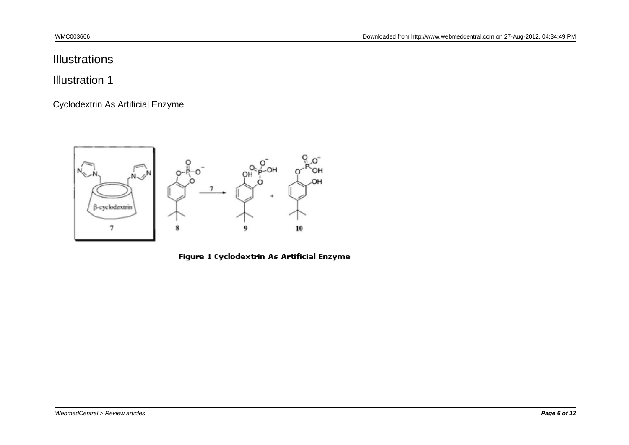# Illustration 1

Cyclodextrin As Artificial Enzyme



Figure 1 Cyclodextrin As Artificial Enzyme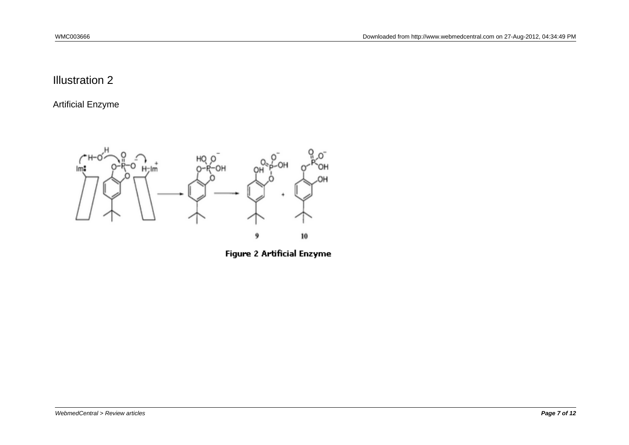Artificial Enzyme



Figure 2 Artificial Enzyme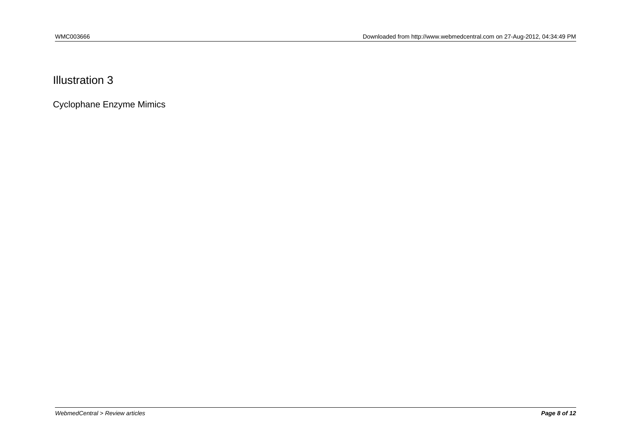Cyclophane Enzyme Mimics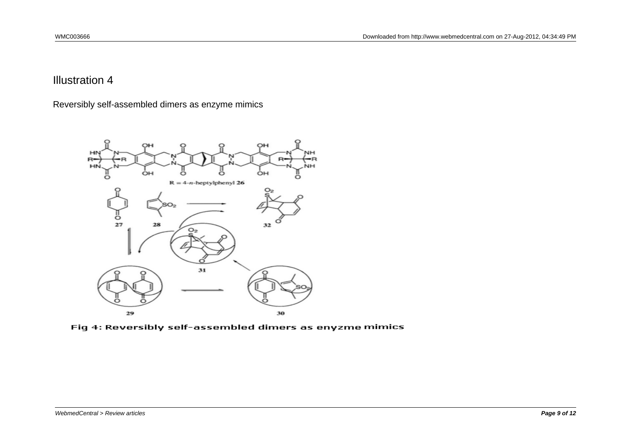Reversibly self-assembled dimers as enzyme mimics



Fig 4: Reversibly self-assembled dimers as enyzme mimics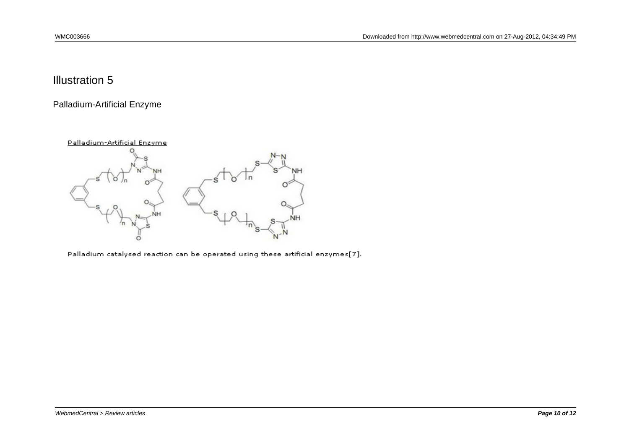## Palladium-Artificial Enzyme



Palladium catalysed reaction can be operated using these artificial enzymes[7].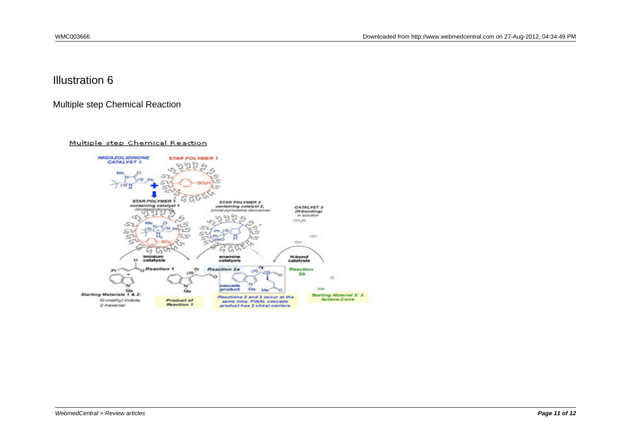## Multiple step Chemical Reaction

### Multiple step Chemical Reaction